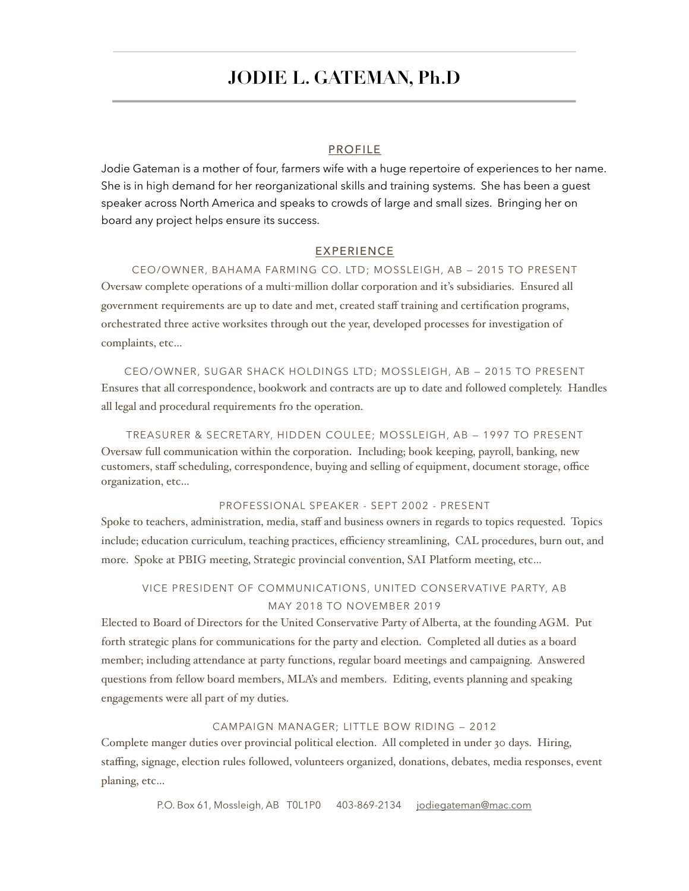# **JODIE L. GATEMAN, Ph.D**

#### PROFILE

Jodie Gateman is a mother of four, farmers wife with a huge repertoire of experiences to her name. She is in high demand for her reorganizational skills and training systems. She has been a guest speaker across North America and speaks to crowds of large and small sizes. Bringing her on board any project helps ensure its success.

#### EXPERIENCE

CEO/OWNER, BAHAMA FARMING CO. LTD; MOSSLEIGH, AB — 2015 TO PRESENT Oversaw complete operations of a multi-million dollar corporation and it's subsidiaries. Ensured all government requirements are up to date and met, created staff training and certification programs, orchestrated three active worksites through out the year, developed processes for investigation of complaints, etc…

CEO/OWNER, SUGAR SHACK HOLDINGS LTD; MOSSLEIGH, AB — 2015 TO PRESENT Ensures that all correspondence, bookwork and contracts are up to date and followed completely. Handles all legal and procedural requirements fro the operation.

TREASURER & SECRETARY, HIDDEN COULEE; MOSSLEIGH, AB — 1997 TO PRESENT Oversaw full communication within the corporation. Including; book keeping, payroll, banking, new customers, staff scheduling, correspondence, buying and selling of equipment, document storage, office organization, etc…

#### PROFESSIONAL SPEAKER - SEPT 2002 - PRESENT

Spoke to teachers, administration, media, staff and business owners in regards to topics requested. Topics include; education curriculum, teaching practices, efficiency streamlining, CAL procedures, burn out, and more. Spoke at PBIG meeting, Strategic provincial convention, SAI Platform meeting, etc…

### VICE PRESIDENT OF COMMUNICATIONS, UNITED CONSERVATIVE PARTY, AB MAY 2018 TO NOVEMBER 2019

Elected to Board of Directors for the United Conservative Party of Alberta, at the founding AGM. Put forth strategic plans for communications for the party and election. Completed all duties as a board member; including attendance at party functions, regular board meetings and campaigning. Answered questions from fellow board members, MLA's and members. Editing, events planning and speaking engagements were all part of my duties.

#### CAMPAIGN MANAGER; LITTLE BOW RIDING — 2012

Complete manger duties over provincial political election. All completed in under 30 days. Hiring, staffing, signage, election rules followed, volunteers organized, donations, debates, media responses, event planing, etc…

P.O. Box 61, Mossleigh, AB T0L1P0 403-869-2134 [jodiegateman@mac.com](mailto:jodiegateman@mac.com)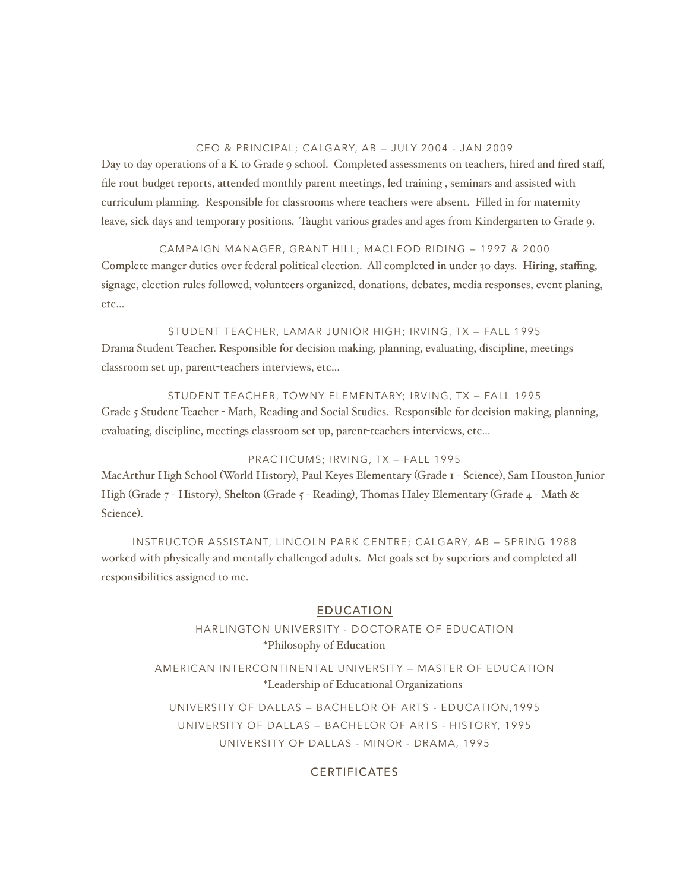#### CEO & PRINCIPAL; CALGARY, AB — JULY 2004 - JAN 2009

Day to day operations of a K to Grade 9 school. Completed assessments on teachers, hired and fired staff, file rout budget reports, attended monthly parent meetings, led training , seminars and assisted with curriculum planning. Responsible for classrooms where teachers were absent. Filled in for maternity leave, sick days and temporary positions. Taught various grades and ages from Kindergarten to Grade 9.

CAMPAIGN MANAGER, GRANT HILL; MACLEOD RIDING — 1997 & 2000 Complete manger duties over federal political election. All completed in under 30 days. Hiring, staffing, signage, election rules followed, volunteers organized, donations, debates, media responses, event planing, etc…

STUDENT TEACHER, LAMAR JUNIOR HIGH; IRVING, TX — FALL 1995 Drama Student Teacher. Responsible for decision making, planning, evaluating, discipline, meetings classroom set up, parent-teachers interviews, etc…

STUDENT TEACHER, TOWNY ELEMENTARY; IRVING, TX — FALL 1995 Grade 5 Student Teacher - Math, Reading and Social Studies. Responsible for decision making, planning, evaluating, discipline, meetings classroom set up, parent-teachers interviews, etc…

#### PRACTICUMS; IRVING, TX — FALL 1995

MacArthur High School (World History), Paul Keyes Elementary (Grade 1 - Science), Sam Houston Junior High (Grade 7 - History), Shelton (Grade 5 - Reading), Thomas Haley Elementary (Grade 4 - Math & Science).

INSTRUCTOR ASSISTANT, LINCOLN PARK CENTRE; CALGARY, AB — SPRING 1988 worked with physically and mentally challenged adults. Met goals set by superiors and completed all responsibilities assigned to me.

#### EDUCATION

HARLINGTON UNIVERSITY - DOCTORATE OF EDUCATION \*Philosophy of Education

AMERICAN INTERCONTINENTAL UNIVERSITY — MASTER OF EDUCATION \*Leadership of Educational Organizations

UNIVERSITY OF DALLAS — BACHELOR OF ARTS - EDUCATION,1995 UNIVERSITY OF DALLAS — BACHELOR OF ARTS - HISTORY, 1995 UNIVERSITY OF DALLAS - MINOR - DRAMA, 1995

#### CERTIFICATES